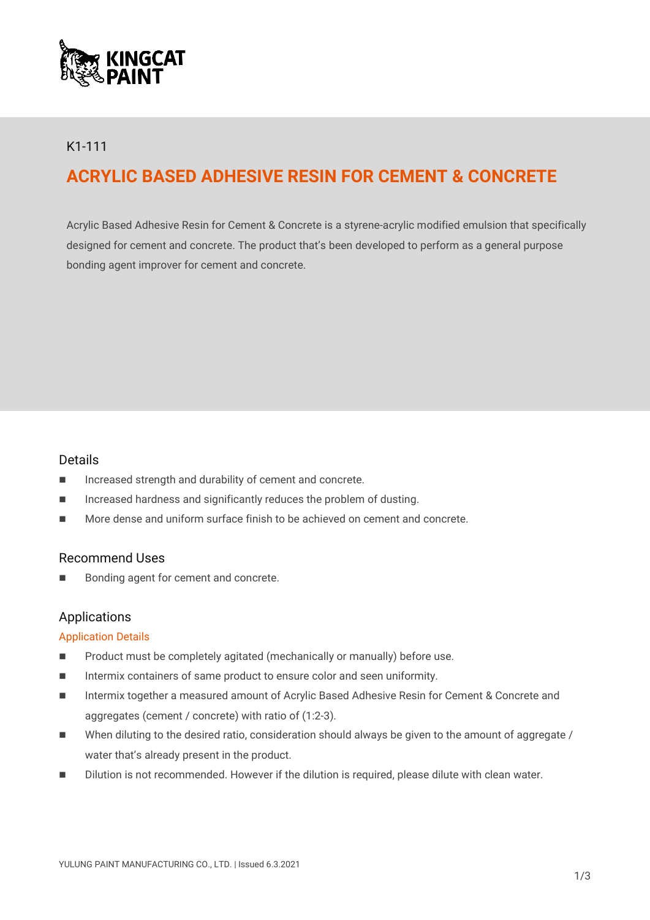

# K1-111

# **ACRYLIC BASED ADHESIVE RESIN FOR CEMENT & CONCRETE**

Acrylic Based Adhesive Resin for Cement & Concrete is a styrene-acrylic modified emulsion that specifically designed for cement and concrete. The product that's been developed to perform as a general purpose bonding agent improver for cement and concrete.

# Details

- Increased strength and durability of cement and concrete.
- $\blacksquare$  Increased hardness and significantly reduces the problem of dusting.
- **More dense and uniform surface finish to be achieved on cement and concrete.**

# Recommend Uses

■ Bonding agent for cement and concrete.

# Applications

#### Application Details

- Product must be completely agitated (mechanically or manually) before use.
- Intermix containers of same product to ensure color and seen uniformity.
- Intermix together a measured amount of Acrylic Based Adhesive Resin for Cement & Concrete and aggregates (cement / concrete) with ratio of (1:2-3).
- When diluting to the desired ratio, consideration should always be given to the amount of aggregate / water that's already present in the product.
- Dilution is not recommended. However if the dilution is required, please dilute with clean water.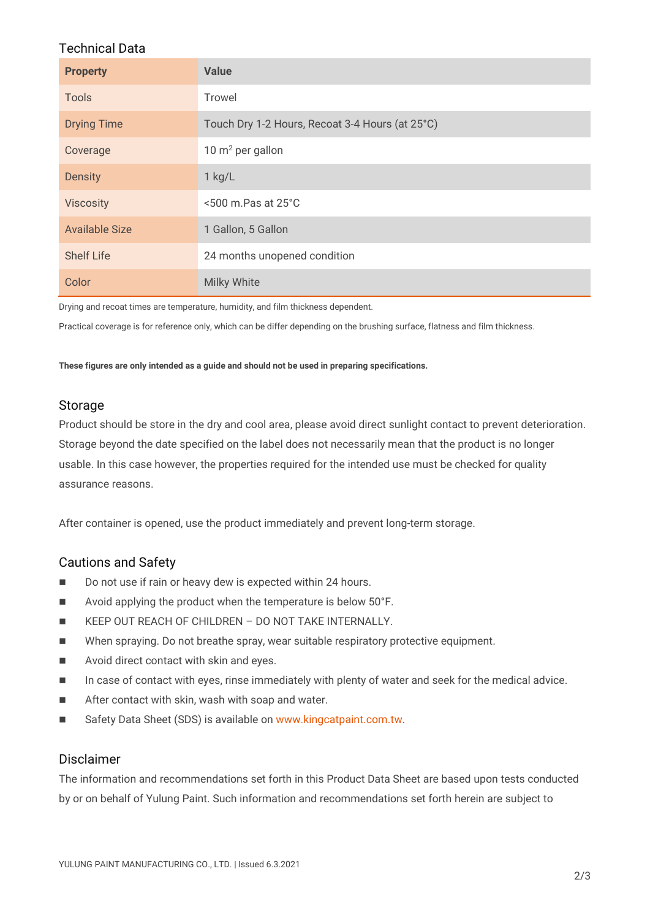# Technical Data

| <b>Property</b>       | <b>Value</b>                                    |
|-----------------------|-------------------------------------------------|
| <b>Tools</b>          | <b>Trowel</b>                                   |
| <b>Drying Time</b>    | Touch Dry 1-2 Hours, Recoat 3-4 Hours (at 25°C) |
| Coverage              | 10 $m^2$ per gallon                             |
| <b>Density</b>        | $1$ kg/L                                        |
| <b>Viscosity</b>      | $<$ 500 m.Pas at 25 $^{\circ}$ C                |
| <b>Available Size</b> | 1 Gallon, 5 Gallon                              |
| <b>Shelf Life</b>     | 24 months unopened condition                    |
| Color                 | <b>Milky White</b>                              |

Drying and recoat times are temperature, humidity, and film thickness dependent.

Practical coverage is for reference only, which can be differ depending on the brushing surface, flatness and film thickness.

**These figures are only intended as a guide and should not be used in preparing specifications.**

# Storage

Product should be store in the dry and cool area, please avoid direct sunlight contact to prevent deterioration. Storage beyond the date specified on the label does not necessarily mean that the product is no longer usable. In this case however, the properties required for the intended use must be checked for quality assurance reasons.

After container is opened, use the product immediately and prevent long-term storage.

# Cautions and Safety

- Do not use if rain or heavy dew is expected within 24 hours.
- Avoid applying the product when the temperature is below 50°F.
- **KEEP OUT REACH OF CHILDREN DO NOT TAKE INTERNALLY.**
- When spraying. Do not breathe spray, wear suitable respiratory protective equipment.
- **Number** Avoid direct contact with skin and eyes.
- In case of contact with eyes, rinse immediately with plenty of water and seek for the medical advice.
- **After contact with skin, wash with soap and water.**
- Safety Data Sheet (SDS) is available on [www.kingcatpaint.com.tw.](http://www.kingcatpaint.com.tw/)

# Disclaimer

The information and recommendations set forth in this Product Data Sheet are based upon tests conducted by or on behalf of Yulung Paint. Such information and recommendations set forth herein are subject to